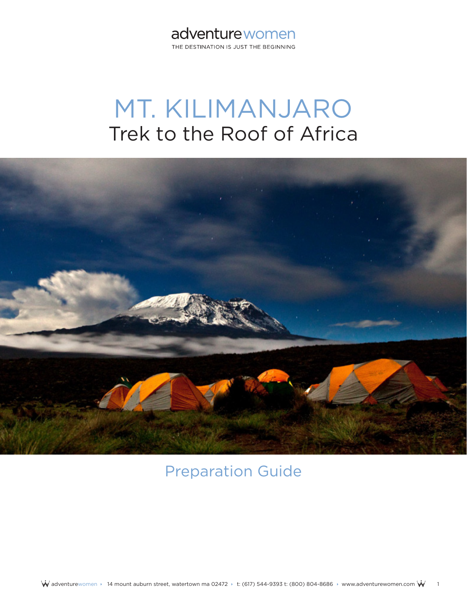# adventurewomen

THE DESTINATION IS JUST THE BEGINNING

# MT. KILIMANJARO Trek to the Roof of Africa



# Preparation Guide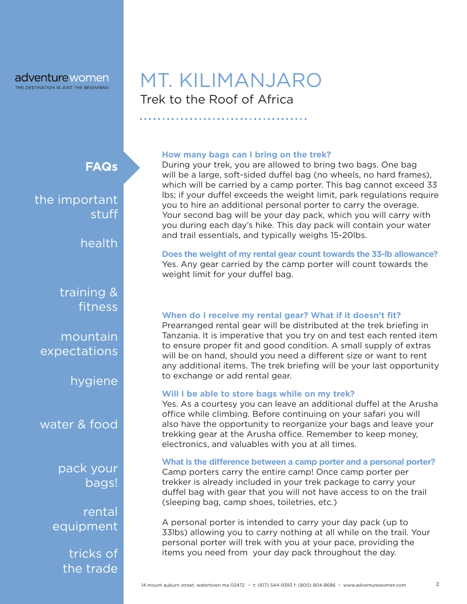# Trek to the Roof of Africa MT. KILIMANJARO

**FAQs**

the important stuff

health

training & fitness

mountain expectations

hygiene

water & food

pack your bags!

rental equipment

> tricks of the trade

#### **How many bags can I bring on the trek?**

During your trek, you are allowed to bring two bags. One bag will be a large, soft-sided duffel bag (no wheels, no hard frames), which will be carried by a camp porter. This bag cannot exceed 33 lbs; if your duffel exceeds the weight limit, park regulations require you to hire an additional personal porter to carry the overage. Your second bag will be your day pack, which you will carry with you during each day's hike. This day pack will contain your water and trail essentials, and typically weighs 15-20lbs.

**Does the weight of my rental gear count towards the 33-lb allowance?** Yes. Any gear carried by the camp porter will count towards the weight limit for your duffel bag.

#### **When do I receive my rental gear? What if it doesn't fit?**

Prearranged rental gear will be distributed at the trek briefing in Tanzania. It is imperative that you try on and test each rented item to ensure proper fit and good condition. A small supply of extras will be on hand, should you need a different size or want to rent any additional items. The trek briefing will be your last opportunity to exchange or add rental gear.

#### **Will I be able to store bags while on my trek?**

Yes. As a courtesy you can leave an additional duffel at the Arusha office while climbing. Before continuing on your safari you will also have the opportunity to reorganize your bags and leave your trekking gear at the Arusha office. Remember to keep money, electronics, and valuables with you at all times.

#### **What is the difference between a camp porter and a personal porter?**

Camp porters carry the entire camp! Once camp porter per trekker is already included in your trek package to carry your duffel bag with gear that you will not have access to on the trail (sleeping bag, camp shoes, toiletries, etc.)

A personal porter is intended to carry your day pack (up to 33lbs) allowing you to carry nothing at all while on the trail. Your personal porter will trek with you at your pace, providing the items you need from your day pack throughout the day.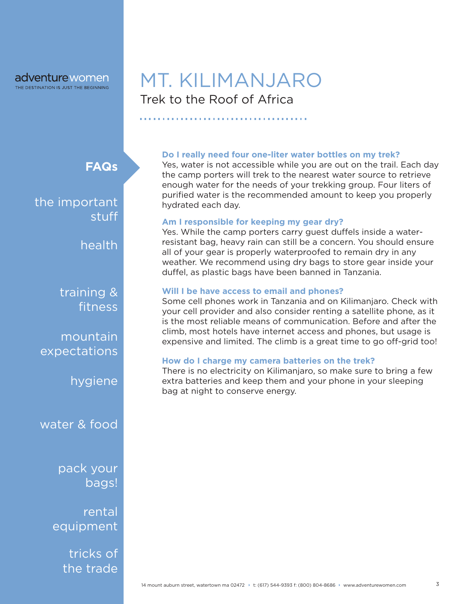# Trek to the Roof of Africa MT. KILIMANJARO

#### **Do I really need four one-liter water bottles on my trek?**

Yes, water is not accessible while you are out on the trail. Each day the camp porters will trek to the nearest water source to retrieve enough water for the needs of your trekking group. Four liters of purified water is the recommended amount to keep you properly hydrated each day.

#### **Am I responsible for keeping my gear dry?**

Yes. While the camp porters carry guest duffels inside a waterresistant bag, heavy rain can still be a concern. You should ensure all of your gear is properly waterproofed to remain dry in any weather. We recommend using dry bags to store gear inside your duffel, as plastic bags have been banned in Tanzania.

#### **Will I be have access to email and phones?**

Some cell phones work in Tanzania and on Kilimanjaro. Check with your cell provider and also consider renting a satellite phone, as it is the most reliable means of communication. Before and after the climb, most hotels have internet access and phones, but usage is expensive and limited. The climb is a great time to go off-grid too!

#### **How do I charge my camera batteries on the trek?**

There is no electricity on Kilimanjaro, so make sure to bring a few extra batteries and keep them and your phone in your sleeping bag at night to conserve energy.

**FAQs**

the important stuff

health

training & fitness

mountain expectations

hygiene

water & food

pack your bags!

rental equipment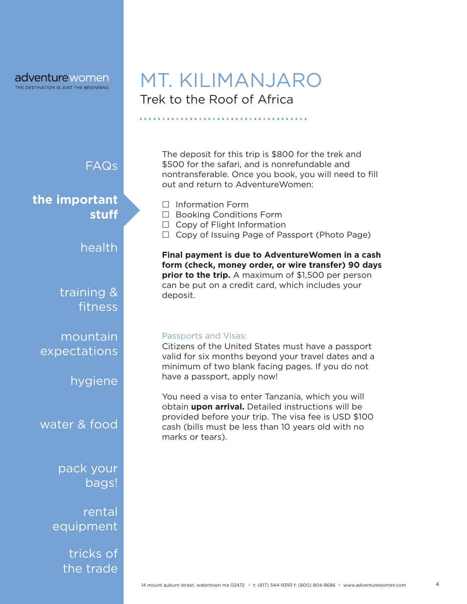# Trek to the Roof of Africa MT. KILIMANJARO

FAQs

**the important stuff**

health

training & fitness

mountain expectations

hygiene

water & food

pack your bags!

rental equipment

> tricks of the trade

The deposit for this trip is \$800 for the trek and \$500 for the safari, and is nonrefundable and nontransferable. Once you book, you will need to fill out and return to AdventureWomen:

- $\Box$  Information Form
- $\Box$  Booking Conditions Form
- $\Box$  Copy of Flight Information
- $\Box$  Copy of Issuing Page of Passport (Photo Page)

**Final payment is due to AdventureWomen in a cash form (check, money order, or wire transfer) 90 days prior to the trip.** A maximum of \$1,500 per person can be put on a credit card, which includes your deposit.

#### Passports and Visas:

Citizens of the United States must have a passport valid for six months beyond your travel dates and a minimum of two blank facing pages. If you do not have a passport, apply now!

You need a visa to enter Tanzania, which you will obtain **upon arrival.** Detailed instructions will be provided before your trip. The visa fee is USD \$100 cash (bills must be less than 10 years old with no marks or tears).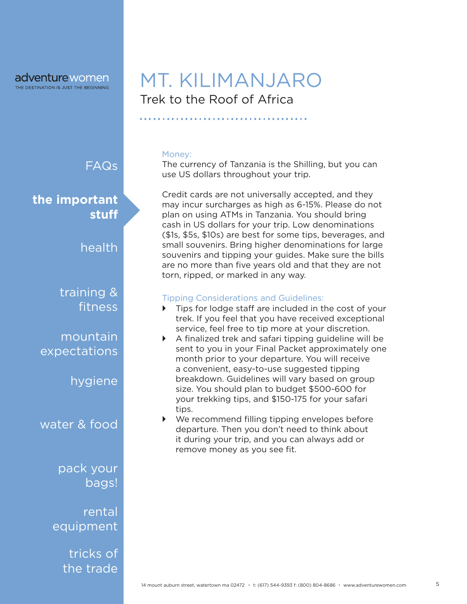Trek to the Roof of Africa MT. KILIMANJARO

FAQs training & fitness mountain expectations hygiene water & food pack your bags! rental equipment **the important stuff** health

> tricks of the trade

#### Money:

The currency of Tanzania is the Shilling, but you can use US dollars throughout your trip.

Credit cards are not universally accepted, and they may incur surcharges as high as 6-15%. Please do not plan on using ATMs in Tanzania. You should bring cash in US dollars for your trip. Low denominations (\$1s, \$5s, \$10s) are best for some tips, beverages, and small souvenirs. Bring higher denominations for large souvenirs and tipping your guides. Make sure the bills are no more than five years old and that they are not torn, ripped, or marked in any way.

#### Tipping Considerations and Guidelines:

- $\triangleright$  Tips for lodge staff are included in the cost of your trek. If you feel that you have received exceptional service, feel free to tip more at your discretion.
- $\triangleright$  A finalized trek and safari tipping guideline will be sent to you in your Final Packet approximately one month prior to your departure. You will receive a convenient, easy-to-use suggested tipping breakdown. Guidelines will vary based on group size. You should plan to budget \$500-600 for your trekking tips, and \$150-175 for your safari tips.
- ` We recommend filling tipping envelopes before departure. Then you don't need to think about it during your trip, and you can always add or remove money as you see fit.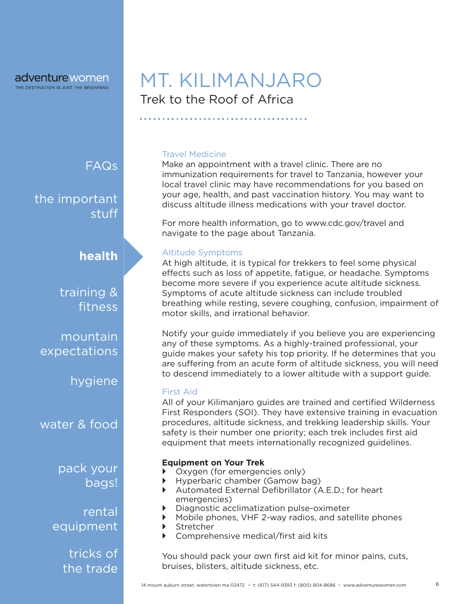FAQs

the important stuff

**health**

training & fitness

mountain expectations

hygiene

water & food

pack your bags!

rental equipment

> tricks of the trade

# Trek to the Roof of Africa MT. KILIMANJARO

#### Travel Medicine

Make an appointment with a travel clinic. There are no immunization requirements for travel to Tanzania, however your local travel clinic may have recommendations for you based on your age, health, and past vaccination history. You may want to discuss altitude illness medications with your travel doctor.

For more health information, go to www.cdc.gov/travel and navigate to the page about Tanzania.

#### Altitude Symptoms

At high altitude, it is typical for trekkers to feel some physical effects such as loss of appetite, fatigue, or headache. Symptoms become more severe if you experience acute altitude sickness. Symptoms of acute altitude sickness can include troubled breathing while resting, severe coughing, confusion, impairment of motor skills, and irrational behavior.

Notify your guide immediately if you believe you are experiencing any of these symptoms. As a highly-trained professional, your guide makes your safety his top priority. If he determines that you are suffering from an acute form of altitude sickness, you will need to descend immediately to a lower altitude with a support guide.

#### First Aid

All of your Kilimanjaro guides are trained and certified Wilderness First Responders (SOI). They have extensive training in evacuation procedures, altitude sickness, and trekking leadership skills. Your safety is their number one priority; each trek includes first aid equipment that meets internationally recognized guidelines.

#### **Equipment on Your Trek**

- Oxygen (for emergencies only)
- ` Hyperbaric chamber (Gamow bag)
- ` Automated External Defibrillator (A.E.D.; for heart emergencies)
- ` Diagnostic acclimatization pulse-oximeter
- ` Mobile phones, VHF 2-way radios, and satellite phones
- **Stretcher**
- ` Comprehensive medical/first aid kits

You should pack your own first aid kit for minor pains, cuts, bruises, blisters, altitude sickness, etc.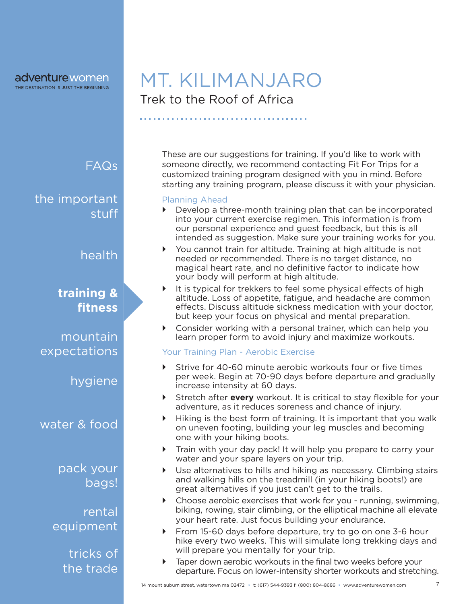FAQs

stuff

# Trek to the Roof of Africa MT. KILIMANJARO

These are our suggestions for training. If you'd like to work with someone directly, we recommend contacting Fit For Trips for a customized training program designed with you in mind. Before starting any training program, please discuss it with your physician.

#### Planning Ahead

- **Develop a three-month training plan that can be incorporated** into your current exercise regimen. This information is from our personal experience and guest feedback, but this is all intended as suggestion. Make sure your training works for you.
- $\triangleright$  You cannot train for altitude. Training at high altitude is not needed or recommended. There is no target distance, no magical heart rate, and no definitive factor to indicate how your body will perform at high altitude.
- $\blacktriangleright$  It is typical for trekkers to feel some physical effects of high altitude. Loss of appetite, fatigue, and headache are common effects. Discuss altitude sickness medication with your doctor, but keep your focus on physical and mental preparation.
- $\triangleright$  Consider working with a personal trainer, which can help you learn proper form to avoid injury and maximize workouts.

#### Your Training Plan - Aerobic Exercise

- Strive for 40-60 minute aerobic workouts four or five times per week. Begin at 70-90 days before departure and gradually increase intensity at 60 days.
- **EXTED Stretch after every** workout. It is critical to stay flexible for your adventure, as it reduces soreness and chance of injury.
- $\blacktriangleright$  Hiking is the best form of training. It is important that you walk on uneven footing, building your leg muscles and becoming one with your hiking boots.
- Train with your day pack! It will help you prepare to carry your water and your spare layers on your trip.
- $\triangleright$  Use alternatives to hills and hiking as necessary. Climbing stairs and walking hills on the treadmill (in your hiking boots!) are great alternatives if you just can't get to the trails.
- Choose aerobic exercises that work for you running, swimming, biking, rowing, stair climbing, or the elliptical machine all elevate your heart rate. Just focus building your endurance.
- From 15-60 days before departure, try to go on one 3-6 hour hike every two weeks. This will simulate long trekking days and will prepare you mentally for your trip.
- Taper down aerobic workouts in the final two weeks before your departure. Focus on lower-intensity shorter workouts and stretching.

14 mount auburn street, watertown ma 02472 → t: (617) 544-9393 f: (800) 804-8686 → www.adventurewomen.com

water & food

**training &** 

the important

mountain

hygiene

expectations

**fitness**

health

pack your bags!

rental equipment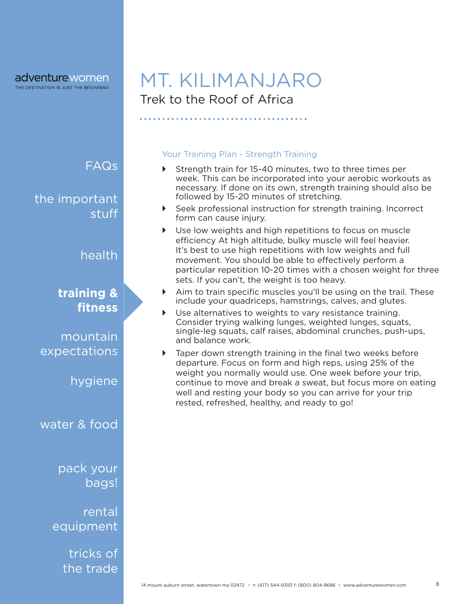# Trek to the Roof of Africa MT. KILIMANJARO

#### Your Training Plan - Strength Training

- ` Strength train for 15-40 minutes, two to three times per week. This can be incorporated into your aerobic workouts as necessary. If done on its own, strength training should also be followed by 15-20 minutes of stretching.
- **EXECT** Seek professional instruction for strength training. Incorrect form can cause injury.
- $\triangleright$  Use low weights and high repetitions to focus on muscle efficiency At high altitude, bulky muscle will feel heavier. It's best to use high repetitions with low weights and full movement. You should be able to effectively perform a particular repetition 10-20 times with a chosen weight for three sets. If you can't, the weight is too heavy.
- $\blacktriangleright$  Aim to train specific muscles you'll be using on the trail. These include your quadriceps, hamstrings, calves, and glutes.
- Use alternatives to weights to vary resistance training. Consider trying walking lunges, weighted lunges, squats, single-leg squats, calf raises, abdominal crunches, push-ups, and balance work.
- Taper down strength training in the final two weeks before departure. Focus on form and high reps, using 25% of the weight you normally would use. One week before your trip, continue to move and break a sweat, but focus more on eating well and resting your body so you can arrive for your trip rested, refreshed, healthy, and ready to go!

FAQs

the important stuff

health

## **training & fitness**

mountain expectations

hygiene

water & food

pack your bags!

rental equipment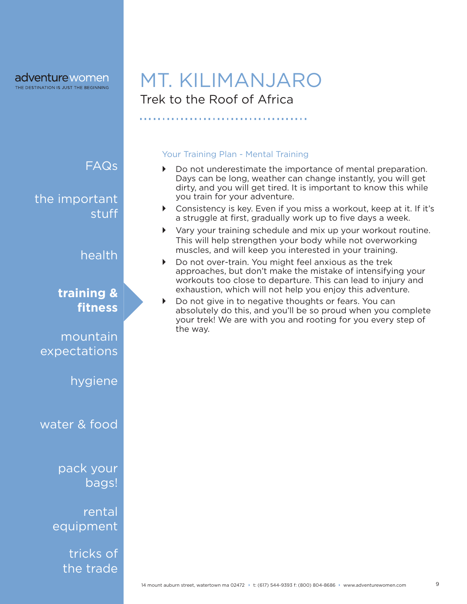# Trek to the Roof of Africa MT. KILIMANJARO

Your Training Plan - Mental Training

### FAQs

the important stuff

health

## **training & fitness**

mountain expectations

hygiene

water & food

pack your bags!

rental equipment

> tricks of the trade

 $\triangleright$  Do not underestimate the importance of mental preparation. Days can be long, weather can change instantly, you will get dirty, and you will get tired. It is important to know this while you train for your adventure.

- $\triangleright$  Consistency is key. Even if you miss a workout, keep at it. If it's a struggle at first, gradually work up to five days a week.
- ` Vary your training schedule and mix up your workout routine. This will help strengthen your body while not overworking muscles, and will keep you interested in your training.
- Do not over-train. You might feel anxious as the trek approaches, but don't make the mistake of intensifying your workouts too close to departure. This can lead to injury and exhaustion, which will not help you enjoy this adventure.
- Do not give in to negative thoughts or fears. You can absolutely do this, and you'll be so proud when you complete your trek! We are with you and rooting for you every step of the way.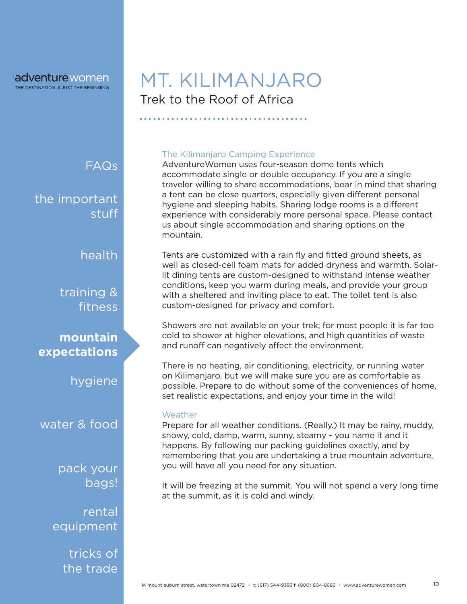Trek to the Roof of Africa MT. KILIMANJARO

FAQs

the important stuff

health

training & fitness

**mountain expectations**

hygiene

water & food

pack your bags!

rental equipment

> tricks of the trade

#### The Kilimanjaro Camping Experience

AdventureWomen uses four-season dome tents which accommodate single or double occupancy. If you are a single traveler willing to share accommodations, bear in mind that sharing a tent can be close quarters, especially given different personal hygiene and sleeping habits. Sharing lodge rooms is a different experience with considerably more personal space. Please contact us about single accommodation and sharing options on the mountain.

Tents are customized with a rain fly and fitted ground sheets, as well as closed-cell foam mats for added dryness and warmth. Solarlit dining tents are custom-designed to withstand intense weather conditions, keep you warm during meals, and provide your group with a sheltered and inviting place to eat. The toilet tent is also custom-designed for privacy and comfort.

Showers are not available on your trek; for most people it is far too cold to shower at higher elevations, and high quantities of waste and runoff can negatively affect the environment.

There is no heating, air conditioning, electricity, or running water on Kilimanjaro, but we will make sure you are as comfortable as possible. Prepare to do without some of the conveniences of home, set realistic expectations, and enjoy your time in the wild!

#### **Weather**

Prepare for all weather conditions. (Really.) It may be rainy, muddy, snowy, cold, damp, warm, sunny, steamy - you name it and it happens. By following our packing guidelines exactly, and by remembering that you are undertaking a true mountain adventure, you will have all you need for any situation.

It will be freezing at the summit. You will not spend a very long time at the summit, as it is cold and windy.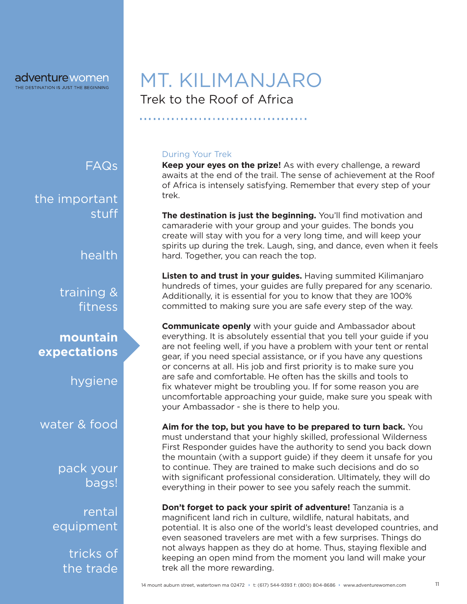FAQs

the important stuff

health

training & fitness

**mountain expectations**

hygiene

water & food

pack your bags!

rental equipment

> tricks of the trade

# Trek to the Roof of Africa MT. KILIMANJARO

#### During Your Trek

**Keep your eyes on the prize!** As with every challenge, a reward awaits at the end of the trail. The sense of achievement at the Roof of Africa is intensely satisfying. Remember that every step of your trek.

**The destination is just the beginning.** You'll find motivation and camaraderie with your group and your guides. The bonds you create will stay with you for a very long time, and will keep your spirits up during the trek. Laugh, sing, and dance, even when it feels hard. Together, you can reach the top.

**Listen to and trust in your guides.** Having summited Kilimanjaro hundreds of times, your guides are fully prepared for any scenario. Additionally, it is essential for you to know that they are 100% committed to making sure you are safe every step of the way.

**Communicate openly** with your guide and Ambassador about everything. It is absolutely essential that you tell your guide if you are not feeling well, if you have a problem with your tent or rental gear, if you need special assistance, or if you have any questions or concerns at all. His job and first priority is to make sure you are safe and comfortable. He often has the skills and tools to fix whatever might be troubling you. If for some reason you are uncomfortable approaching your guide, make sure you speak with your Ambassador - she is there to help you.

**Aim for the top, but you have to be prepared to turn back.** You must understand that your highly skilled, professional Wilderness First Responder guides have the authority to send you back down the mountain (with a support guide) if they deem it unsafe for you to continue. They are trained to make such decisions and do so with significant professional consideration. Ultimately, they will do everything in their power to see you safely reach the summit.

**Don't forget to pack your spirit of adventure!** Tanzania is a magnificent land rich in culture, wildlife, natural habitats, and potential. It is also one of the world's least developed countries, and even seasoned travelers are met with a few surprises. Things do not always happen as they do at home. Thus, staying flexible and keeping an open mind from the moment you land will make your trek all the more rewarding.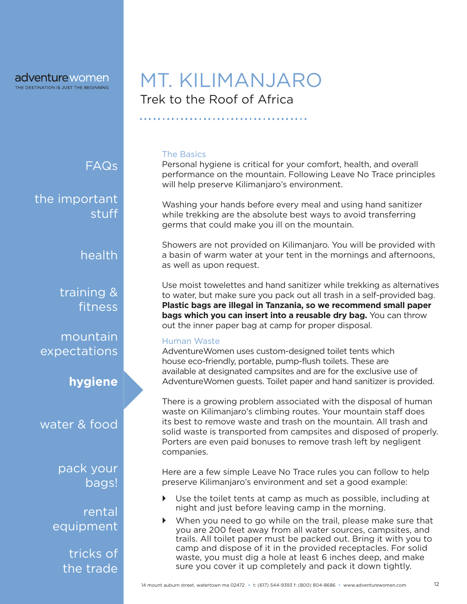# Trek to the Roof of Africa MT. KILIMANJARO

#### The Basics

Personal hygiene is critical for your comfort, health, and overall performance on the mountain. Following Leave No Trace principles will help preserve Kilimanjaro's environment.

Washing your hands before every meal and using hand sanitizer while trekking are the absolute best ways to avoid transferring germs that could make you ill on the mountain.

Showers are not provided on Kilimanjaro. You will be provided with a basin of warm water at your tent in the mornings and afternoons, as well as upon request.

Use moist towelettes and hand sanitizer while trekking as alternatives to water, but make sure you pack out all trash in a self-provided bag. **Plastic bags are illegal in Tanzania, so we recommend small paper bags which you can insert into a reusable dry bag.** You can throw out the inner paper bag at camp for proper disposal.

#### Human Waste

AdventureWomen uses custom-designed toilet tents which house eco-friendly, portable, pump-flush toilets. These are available at designated campsites and are for the exclusive use of AdventureWomen guests. Toilet paper and hand sanitizer is provided.

There is a growing problem associated with the disposal of human waste on Kilimanjaro's climbing routes. Your mountain staff does its best to remove waste and trash on the mountain. All trash and solid waste is transported from campsites and disposed of properly. Porters are even paid bonuses to remove trash left by negligent companies.

Here are a few simple Leave No Trace rules you can follow to help preserve Kilimanjaro's environment and set a good example:

- $\triangleright$  Use the toilet tents at camp as much as possible, including at night and just before leaving camp in the morning.
- When you need to go while on the trail, please make sure that you are 200 feet away from all water sources, campsites, and trails. All toilet paper must be packed out. Bring it with you to camp and dispose of it in the provided receptacles. For solid waste, you must dig a hole at least 6 inches deep, and make sure you cover it up completely and pack it down tightly.

the important

health

FAQs

stuff

training & fitness

mountain expectations

### **hygiene**

water & food

pack your bags!

rental equipment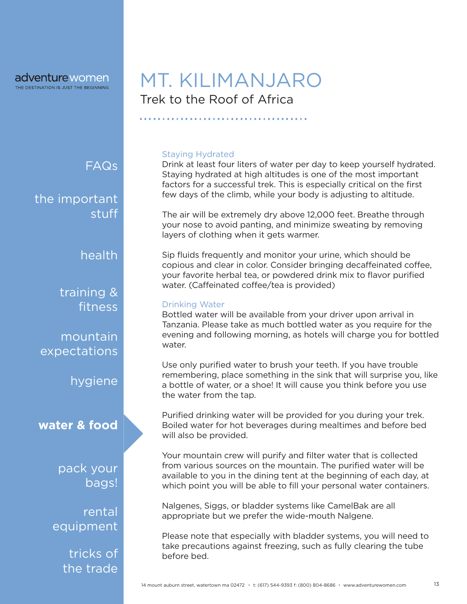FAQs

the important stuff

health

training & fitness

mountain expectations

hygiene

**water & food**

pack your bags!

rental equipment

> tricks of the trade

# Trek to the Roof of Africa MT. KILIMANJARO

Staying Hydrated

Drink at least four liters of water per day to keep yourself hydrated. Staying hydrated at high altitudes is one of the most important factors for a successful trek. This is especially critical on the first few days of the climb, while your body is adjusting to altitude.

The air will be extremely dry above 12,000 feet. Breathe through your nose to avoid panting, and minimize sweating by removing layers of clothing when it gets warmer.

Sip fluids frequently and monitor your urine, which should be copious and clear in color. Consider bringing decaffeinated coffee, your favorite herbal tea, or powdered drink mix to flavor purified water. (Caffeinated coffee/tea is provided)

#### Drinking Water

Bottled water will be available from your driver upon arrival in Tanzania. Please take as much bottled water as you require for the evening and following morning, as hotels will charge you for bottled water.

Use only purified water to brush your teeth. If you have trouble remembering, place something in the sink that will surprise you, like a bottle of water, or a shoe! It will cause you think before you use the water from the tap.

Purified drinking water will be provided for you during your trek. Boiled water for hot beverages during mealtimes and before bed will also be provided.

Your mountain crew will purify and filter water that is collected from various sources on the mountain. The purified water will be available to you in the dining tent at the beginning of each day, at which point you will be able to fill your personal water containers.

Nalgenes, Siggs, or bladder systems like CamelBak are all appropriate but we prefer the wide-mouth Nalgene.

Please note that especially with bladder systems, you will need to take precautions against freezing, such as fully clearing the tube before bed.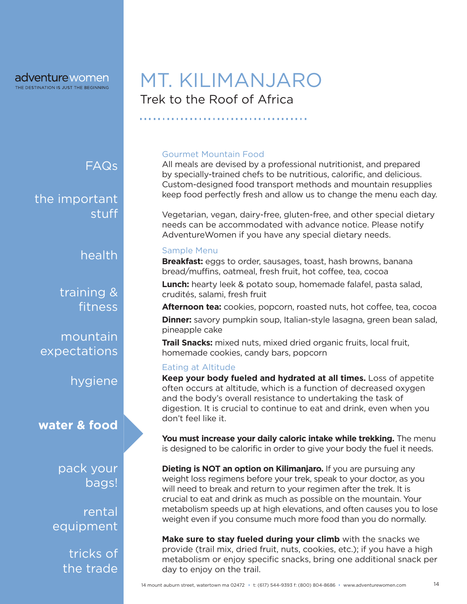FAQs

the important stuff

health

training & fitness

mountain expectations

hygiene

**water & food**

pack your bags!

rental equipment

> tricks of the trade

# Trek to the Roof of Africa MT. KILIMANJARO

#### Gourmet Mountain Food

All meals are devised by a professional nutritionist, and prepared by specially-trained chefs to be nutritious, calorific, and delicious. Custom-designed food transport methods and mountain resupplies keep food perfectly fresh and allow us to change the menu each day.

Vegetarian, vegan, dairy-free, gluten-free, and other special dietary needs can be accommodated with advance notice. Please notify AdventureWomen if you have any special dietary needs.

#### Sample Menu

**Breakfast:** eggs to order, sausages, toast, hash browns, banana bread/muffins, oatmeal, fresh fruit, hot coffee, tea, cocoa

**Lunch:** hearty leek & potato soup, homemade falafel, pasta salad, crudités, salami, fresh fruit

**Afternoon tea:** cookies, popcorn, roasted nuts, hot coffee, tea, cocoa

**Dinner:** savory pumpkin soup, Italian-style lasagna, green bean salad, pineapple cake

**Trail Snacks:** mixed nuts, mixed dried organic fruits, local fruit, homemade cookies, candy bars, popcorn

#### Eating at Altitude

**Keep your body fueled and hydrated at all times.** Loss of appetite often occurs at altitude, which is a function of decreased oxygen and the body's overall resistance to undertaking the task of digestion. It is crucial to continue to eat and drink, even when you don't feel like it.

**You must increase your daily caloric intake while trekking.** The menu is designed to be calorific in order to give your body the fuel it needs.

**Dieting is NOT an option on Kilimanjaro.** If you are pursuing any weight loss regimens before your trek, speak to your doctor, as you will need to break and return to your regimen after the trek. It is crucial to eat and drink as much as possible on the mountain. Your metabolism speeds up at high elevations, and often causes you to lose weight even if you consume much more food than you do normally.

**Make sure to stay fueled during your climb** with the snacks we provide (trail mix, dried fruit, nuts, cookies, etc.); if you have a high metabolism or enjoy specific snacks, bring one additional snack per day to enjoy on the trail.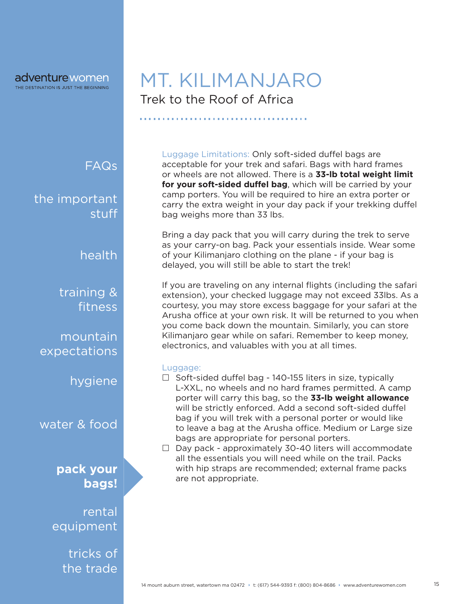# Trek to the Roof of Africa MT. KILIMANJARO

FAQs

the important stuff

health

training & fitness

mountain expectations

hygiene

water & food

**pack your bags!**

rental equipment

> tricks of the trade

Luggage Limitations: Only soft-sided duffel bags are acceptable for your trek and safari. Bags with hard frames or wheels are not allowed. There is a **33-lb total weight limit**  for your soft-sided duffel bag, which will be carried by your camp porters. You will be required to hire an extra porter or carry the extra weight in your day pack if your trekking duffel bag weighs more than 33 lbs.

Bring a day pack that you will carry during the trek to serve as your carry-on bag. Pack your essentials inside. Wear some of your Kilimanjaro clothing on the plane - if your bag is delayed, you will still be able to start the trek!

If you are traveling on any internal flights (including the safari extension), your checked luggage may not exceed 33lbs. As a courtesy, you may store excess baggage for your safari at the Arusha office at your own risk. It will be returned to you when you come back down the mountain. Similarly, you can store Kilimanjaro gear while on safari. Remember to keep money, electronics, and valuables with you at all times.

#### Luggage:

- $\Box$  Soft-sided duffel bag 140-155 liters in size, typically L-XXL, no wheels and no hard frames permitted. A camp porter will carry this bag, so the **33-lb weight allowance** will be strictly enforced. Add a second soft-sided duffel bag if you will trek with a personal porter or would like to leave a bag at the Arusha office. Medium or Large size bags are appropriate for personal porters.
- $\Box$  Day pack approximately 30-40 liters will accommodate all the essentials you will need while on the trail. Packs with hip straps are recommended; external frame packs are not appropriate.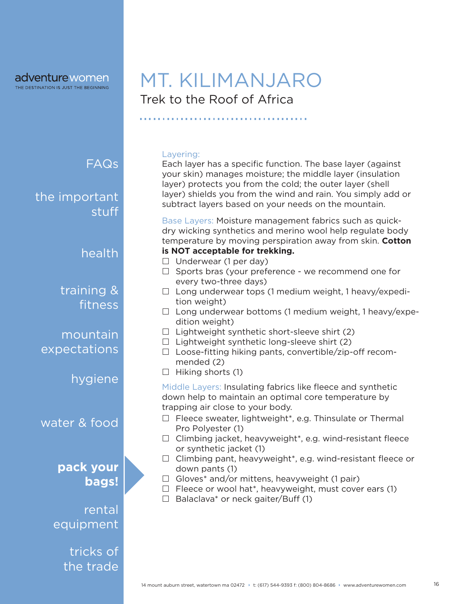Trek to the Roof of Africa MT. KILIMANJARO

the important stuff

health

FAQs

training & fitness

mountain expectations

hygiene

water & food

**pack your bags!**

rental equipment

> tricks of the trade

Layering:

Each layer has a specific function. The base layer (against your skin) manages moisture; the middle layer (insulation layer) protects you from the cold; the outer layer (shell layer) shields you from the wind and rain. You simply add or subtract layers based on your needs on the mountain.

Base Layers: Moisture management fabrics such as quickdry wicking synthetics and merino wool help regulate body temperature by moving perspiration away from skin. **Cotton** 

- **is NOT acceptable for trekking.**
- $\Box$  Underwear (1 per day)
- $\Box$  Sports bras (your preference we recommend one for every two-three days)
- $\Box$  Long underwear tops (1 medium weight, 1 heavy/expedition weight)
- $\Box$  Long underwear bottoms (1 medium weight, 1 heavy/expedition weight)
- $\Box$  Lightweight synthetic short-sleeve shirt (2)
- $\Box$  Lightweight synthetic long-sleeve shirt (2)
- $\Box$  Loose-fitting hiking pants, convertible/zip-off recommended (2)
- $\Box$  Hiking shorts (1)

Middle Layers: Insulating fabrics like fleece and synthetic down help to maintain an optimal core temperature by trapping air close to your body.

- $\Box$  Fleece sweater, lightweight\*, e.g. Thinsulate or Thermal Pro Polyester (1)
- $\Box$  Climbing jacket, heavyweight\*, e.g. wind-resistant fleece or synthetic jacket (1)
- $\Box$  Climbing pant, heavyweight\*, e.g. wind-resistant fleece or down pants (1)
- $\Box$  Gloves\* and/or mittens, heavyweight (1 pair)
- $\Box$  Fleece or wool hat\*, heavyweight, must cover ears (1)
- $\Box$  Balaclava\* or neck gaiter/Buff (1)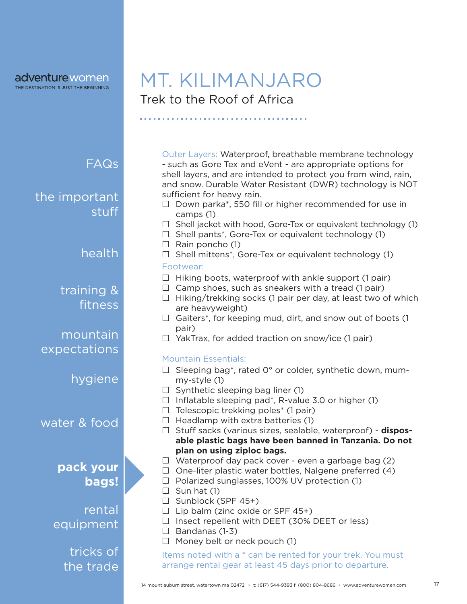Trek to the Roof of Africa MT. KILIMANJARO

FAQs

the important stuff

health

training & fitness

mountain expectations

hygiene

water & food

### **pack your bags!**

rental equipment

> tricks of the trade

Outer Layers: Waterproof, breathable membrane technology - such as Gore Tex and eVent - are appropriate options for shell layers, and are intended to protect you from wind, rain, and snow. Durable Water Resistant (DWR) technology is NOT sufficient for heavy rain.

- $\Box$  Down parka\*, 550 fill or higher recommended for use in camps (1)
- $\Box$  Shell jacket with hood, Gore-Tex or equivalent technology (1)
- $\Box$  Shell pants\*, Gore-Tex or equivalent technology (1)
- $\Box$  Rain poncho (1)
- $\Box$  Shell mittens<sup>\*</sup>, Gore-Tex or equivalent technology (1)

#### Footwear:

- $\Box$  Hiking boots, waterproof with ankle support (1 pair)
- $\Box$  Camp shoes, such as sneakers with a tread (1 pair)
- $\Box$  Hiking/trekking socks (1 pair per day, at least two of which are heavyweight)
- $\Box$  Gaiters\*, for keeping mud, dirt, and snow out of boots (1 pair)
- $\Box$  YakTrax, for added traction on snow/ice (1 pair)

### Mountain Essentials:

- $\Box$  Sleeping bag<sup>\*</sup>, rated 0° or colder, synthetic down, mummy-style (1)
- $\Box$  Synthetic sleeping bag liner (1)
- $\Box$  Inflatable sleeping pad\*, R-value 3.0 or higher (1)
- $\Box$  Telescopic trekking poles<sup>\*</sup> (1 pair)
- $\Box$  Headlamp with extra batteries (1)
- □ Stuff sacks (various sizes, sealable, waterproof) **disposable plastic bags have been banned in Tanzania. Do not plan on using ziploc bags.**
- $\Box$  Waterproof day pack cover even a garbage bag (2)
- $\Box$  One-liter plastic water bottles, Nalgene preferred (4)
- $\Box$  Polarized sunglasses, 100% UV protection (1)
- $\Box$  Sun hat (1)
- $\Box$  Sunblock (SPF 45+)
- $\Box$  Lip balm (zinc oxide or SPF 45+)
- $\Box$  Insect repellent with DEET (30% DEET or less)
- $\Box$  Bandanas (1-3)
- $\Box$  Money belt or neck pouch (1)

Items noted with a \* can be rented for your trek. You must arrange rental gear at least 45 days prior to departure.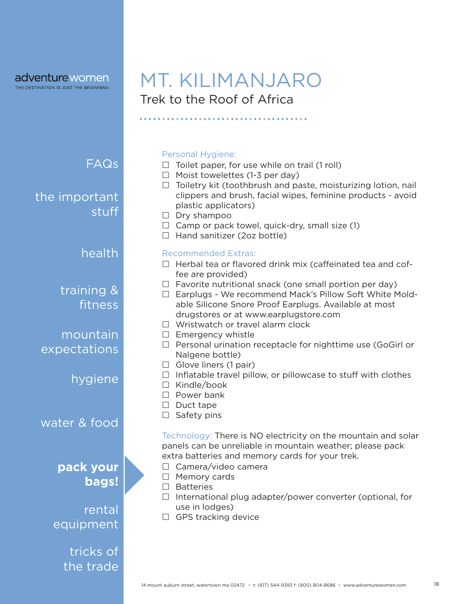### adventurewomen

THE DESTINATION IS JUST THE BEGINNING

# Trek to the Roof of Africa MT. KILIMANJARO

FAQs

the important stuff

### health

training & fitness

mountain expectations

hygiene

water & food

### **pack your bags!**

## rental equipment

tricks of the trade

#### Personal Hygiene:

- $\Box$  Toilet paper, for use while on trail (1 roll)
- $\Box$  Moist towelettes (1-3 per day)
- $\Box$  Toiletry kit (toothbrush and paste, moisturizing lotion, nail clippers and brush, facial wipes, feminine products - avoid plastic applicators)
- $\Box$  Dry shampoo
- $\Box$  Camp or pack towel, quick-dry, small size (1)
- $\Box$  Hand sanitizer (2oz bottle)

#### Recommended Extras:

- $\Box$  Herbal tea or flavored drink mix (caffeinated tea and coffee are provided)
- $\Box$  Favorite nutritional snack (one small portion per day)
- $\Box$  Earplugs We recommend Mack's Pillow Soft White Moldable Silicone Snore Proof Earplugs. Available at most drugstores or at www.earplugstore.com
- $\Box$  Wristwatch or travel alarm clock
- $\Box$  Emergency whistle
- $\Box$  Personal urination receptacle for nighttime use (GoGirl or Nalgene bottle)
- $\Box$  Glove liners (1 pair)
- $\Box$  Inflatable travel pillow, or pillowcase to stuff with clothes
- $\Box$  Kindle/book
- $\Box$  Power bank
- $\Box$  Duct tape
- $\Box$  Safety pins

Technology: There is NO electricity on the mountain and solar panels can be unreliable in mountain weather; please pack extra batteries and memory cards for your trek.

- □ Camera/video camera
- $\Box$  Memory cards
- $\Box$  Batteries
- $\Box$  International plug adapter/power converter (optional, for use in lodges)
- □ GPS tracking device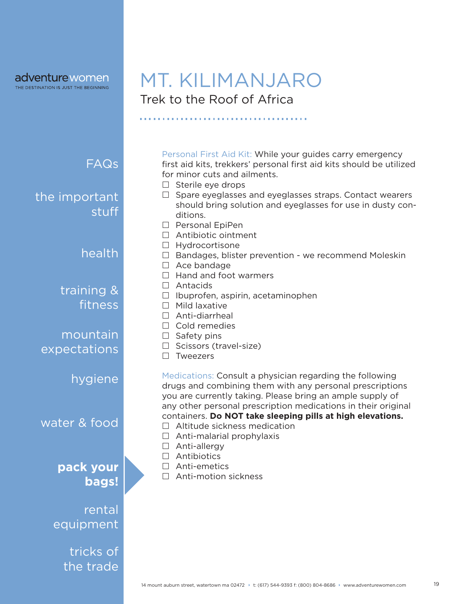### adventure women

THE DESTINATION IS JUST THE BEGINNING

FAQs

stuff

training &

the important

mountain

hygiene

expectations

water & food

fitness

health

# Trek to the Roof of Africa MT. KILIMANJARO

Personal First Aid Kit: While your guides carry emergency first aid kits, trekkers' personal first aid kits should be utilized for minor cuts and ailments.

- $\Box$  Sterile eye drops
- $\Box$  Spare eyeglasses and eyeglasses straps. Contact wearers should bring solution and eyeglasses for use in dusty conditions.
- $\Box$  Personal EpiPen
- □ Antibiotic ointment
- $\Box$  Hydrocortisone
- $\Box$  Bandages, blister prevention we recommend Moleskin
- $\Box$  Ace bandage
- $\Box$  Hand and foot warmers
- □ Antacids
- $\Box$  Ibuprofen, aspirin, acetaminophen
- $\Box$  Mild laxative
- Anti-diarrheal
- $\Box$  Cold remedies
- $\Box$  Safety pins
- $\Box$  Scissors (travel-size)
- $\square$  Tweezers

Medications: Consult a physician regarding the following drugs and combining them with any personal prescriptions you are currently taking. Please bring an ample supply of any other personal prescription medications in their original containers. **Do NOT take sleeping pills at high elevations.**

- $\Box$  Altitude sickness medication
- $\Box$  Anti-malarial prophylaxis
- □ Anti-allergy
- □ Antibiotics
- □ Anti-emetics
- □ Anti-motion sickness



**pack your** 

**bags!**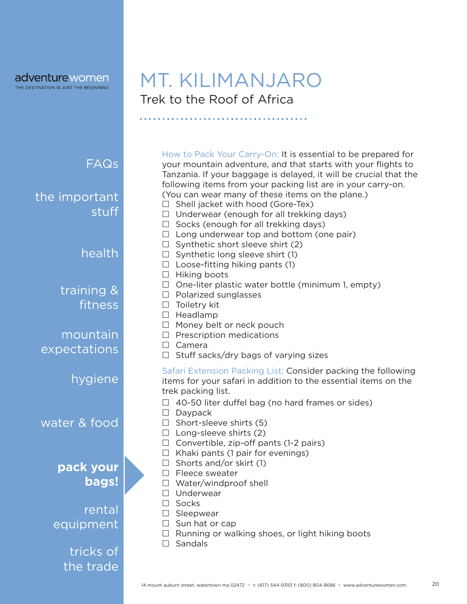**adventure** women

# Trek to the Roof of Africa MT. KILIMANJARO

,,,,,,,,,,,,,,,,,,,,,,,,,,,,,,,,,,,,,

| Long underwear top and bottom (one pair)<br>$\Box$<br>Synthetic short sleeve shirt (2)<br>$\Box$<br>health<br>$\Box$ Synthetic long sleeve shirt (1)<br>$\Box$ Loose-fitting hiking pants (1)<br>Hiking boots<br>Ш<br>One-liter plastic water bottle (minimum 1, empty)<br>$\Box$<br>training &<br>$\Box$ Polarized sunglasses<br>fitness<br>$\Box$ Toiletry kit<br>$\Box$ Headlamp<br>Money belt or neck pouch<br>$\Box$<br>mountain<br>Prescription medications<br>$\Box$<br>$\Box$ Camera<br>expectations |
|--------------------------------------------------------------------------------------------------------------------------------------------------------------------------------------------------------------------------------------------------------------------------------------------------------------------------------------------------------------------------------------------------------------------------------------------------------------------------------------------------------------|
|                                                                                                                                                                                                                                                                                                                                                                                                                                                                                                              |
|                                                                                                                                                                                                                                                                                                                                                                                                                                                                                                              |
|                                                                                                                                                                                                                                                                                                                                                                                                                                                                                                              |
|                                                                                                                                                                                                                                                                                                                                                                                                                                                                                                              |
|                                                                                                                                                                                                                                                                                                                                                                                                                                                                                                              |
|                                                                                                                                                                                                                                                                                                                                                                                                                                                                                                              |
| Stuff sacks/dry bags of varying sizes<br>$\Box$                                                                                                                                                                                                                                                                                                                                                                                                                                                              |
| Safari Extension Packing List: Consider packing the following<br>hygiene<br>items for your safari in addition to the essential items on the<br>trek packing list.                                                                                                                                                                                                                                                                                                                                            |
| 40-50 liter duffel bag (no hard frames or sides)<br>Daypack<br>$\Box$<br>water & food<br>Short-sleeve shirts (5)<br>$\Box$<br>$\Box$ Long-sleeve shirts (2)<br>$\Box$ Convertible, zip-off pants (1-2 pairs)                                                                                                                                                                                                                                                                                                 |
| Khaki pants (1 pair for evenings)<br>$\Box$<br>Shorts and/or skirt (1)<br>$\perp$                                                                                                                                                                                                                                                                                                                                                                                                                            |
| pack your<br>Fleece sweater                                                                                                                                                                                                                                                                                                                                                                                                                                                                                  |
| bags!<br>$\Box$ Water/windproof shell                                                                                                                                                                                                                                                                                                                                                                                                                                                                        |
| Underwear<br>Socks                                                                                                                                                                                                                                                                                                                                                                                                                                                                                           |
| rental<br>Sleepwear                                                                                                                                                                                                                                                                                                                                                                                                                                                                                          |
| equipment<br>$\Box$ Sun hat or cap                                                                                                                                                                                                                                                                                                                                                                                                                                                                           |
| Running or walking shoes, or light hiking boots<br>Sandals                                                                                                                                                                                                                                                                                                                                                                                                                                                   |
| tricks of                                                                                                                                                                                                                                                                                                                                                                                                                                                                                                    |
| the trade                                                                                                                                                                                                                                                                                                                                                                                                                                                                                                    |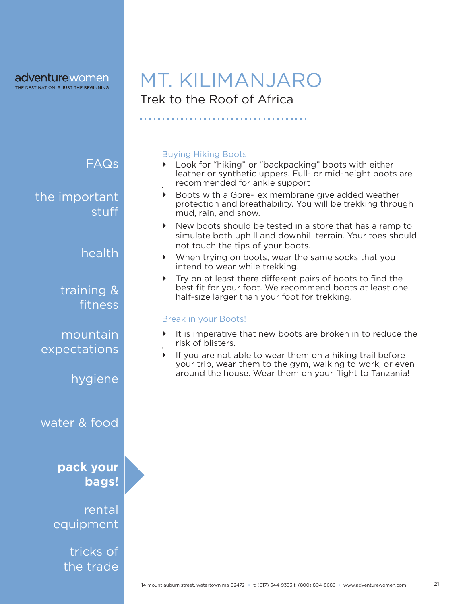### adventure women

THE DESTINATION IS JUST THE BEGINNING

# Trek to the Roof of Africa MT. KILIMANJARO

### FAQs

the important stuff

### health

training & fitness

### mountain expectations

hygiene

water & food

### **pack your bags!**

rental equipment

> tricks of the trade

#### Buying Hiking Boots

- ▶ Look for "hiking" or "backpacking" boots with either leather or synthetic uppers. Full- or mid-height boots are recommended for ankle support `
- ` Boots with a Gore-Tex membrane give added weather protection and breathability. You will be trekking through mud, rain, and snow.
- $\triangleright$  New boots should be tested in a store that has a ramp to simulate both uphill and downhill terrain. Your toes should not touch the tips of your boots.
- ` When trying on boots, wear the same socks that you intend to wear while trekking.
- $\triangleright$  Try on at least there different pairs of boots to find the best fit for your foot. We recommend boots at least one half-size larger than your foot for trekking.

#### Break in your Boots!

- $\blacktriangleright$  It is imperative that new boots are broken in to reduce the risk of blisters. `
- If you are not able to wear them on a hiking trail before your trip, wear them to the gym, walking to work, or even around the house. Wear them on your flight to Tanzania!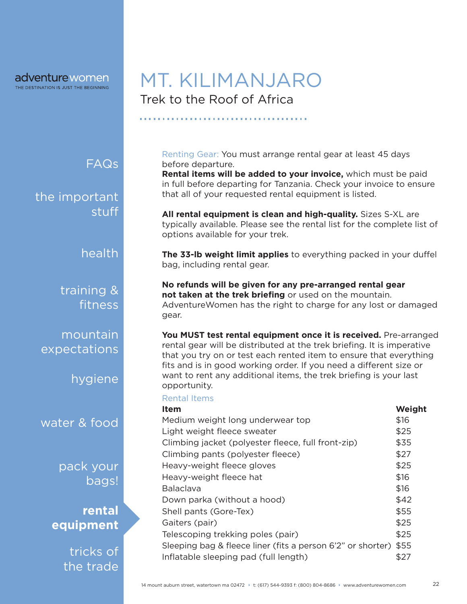# Trek to the Roof of Africa MT. KILIMANJARO

### FAQs

the important stuff

health

training & fitness

mountain expectations

hygiene

water & food

pack your bags!

**rental equipment**

> tricks of the trade

Renting Gear: You must arrange rental gear at least 45 days before departure.

**Rental items will be added to your invoice,** which must be paid in full before departing for Tanzania. Check your invoice to ensure that all of your requested rental equipment is listed.

**All rental equipment is clean and high-quality.** Sizes S-XL are typically available. Please see the rental list for the complete list of options available for your trek.

**The 33-lb weight limit applies** to everything packed in your duffel bag, including rental gear.

**No refunds will be given for any pre-arranged rental gear not taken at the trek briefing** or used on the mountain. AdventureWomen has the right to charge for any lost or damaged gear.

You MUST test rental equipment once it is received. Pre-arranged rental gear will be distributed at the trek briefing. It is imperative that you try on or test each rented item to ensure that everything fits and is in good working order. If you need a different size or want to rent any additional items, the trek briefing is your last opportunity.

#### Rental Items

| <b>Item</b>                                                 | Weight |
|-------------------------------------------------------------|--------|
| Medium weight long underwear top                            | \$16   |
| Light weight fleece sweater                                 | \$25   |
| Climbing jacket (polyester fleece, full front-zip)          | \$35   |
| Climbing pants (polyester fleece)                           | \$27   |
| Heavy-weight fleece gloves                                  | \$25   |
| Heavy-weight fleece hat                                     | \$16   |
| <b>Balaclava</b>                                            | \$16   |
| Down parka (without a hood)                                 | \$42   |
| Shell pants (Gore-Tex)                                      | \$55   |
| Gaiters (pair)                                              | \$25   |
| Telescoping trekking poles (pair)                           | \$25   |
| Sleeping bag & fleece liner (fits a person 6'2" or shorter) | \$55   |
| Inflatable sleeping pad (full length)                       | \$27   |
|                                                             |        |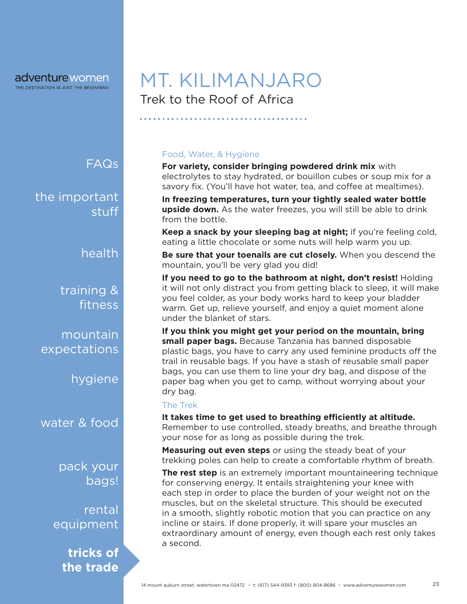FAQs

the important stuff

health

training & fitness

mountain expectations

hygiene

water & food

pack your bags!

rental equipment

> **tricks of the trade**

# Trek to the Roof of Africa MT. KILIMANJARO

### Food, Water, & Hygiene

**For variety, consider bringing powdered drink mix** with electrolytes to stay hydrated, or bouillon cubes or soup mix for a savory fix. (You'll have hot water, tea, and coffee at mealtimes).

**In freezing temperatures, turn your tightly sealed water bottle upside down.** As the water freezes, you will still be able to drink from the bottle.

**Keep a snack by your sleeping bag at night;** if you're feeling cold, eating a little chocolate or some nuts will help warm you up.

**Be sure that your toenails are cut closely.** When you descend the mountain, you'll be very glad you did!

**If you need to go to the bathroom at night, don't resist!** Holding it will not only distract you from getting black to sleep, it will make you feel colder, as your body works hard to keep your bladder warm. Get up, relieve yourself, and enjoy a quiet moment alone under the blanket of stars.

**If you think you might get your period on the mountain, bring small paper bags.** Because Tanzania has banned disposable plastic bags, you have to carry any used feminine products off the trail in reusable bags. If you have a stash of reusable small paper bags, you can use them to line your dry bag, and dispose of the paper bag when you get to camp, without worrying about your dry bag.

#### The Trek

**It takes time to get used to breathing efficiently at altitude.**  Remember to use controlled, steady breaths, and breathe through your nose for as long as possible during the trek.

**Measuring out even steps** or using the steady beat of your trekking poles can help to create a comfortable rhythm of breath.

**The rest step** is an extremely important mountaineering technique for conserving energy. It entails straightening your knee with each step in order to place the burden of your weight not on the muscles, but on the skeletal structure. This should be executed in a smooth, slightly robotic motion that you can practice on any incline or stairs. If done properly, it will spare your muscles an extraordinary amount of energy, even though each rest only takes a second.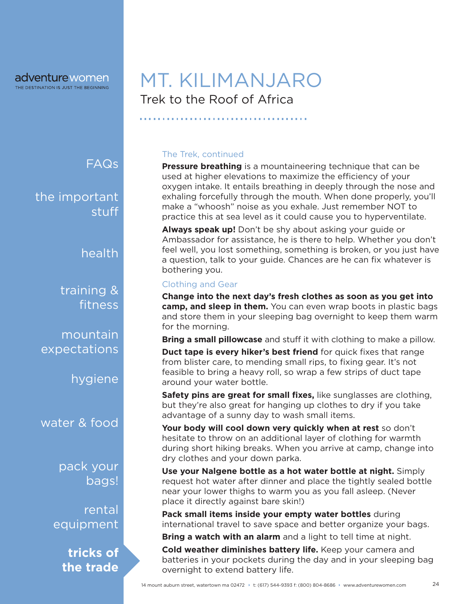FAQs

the important stuff

health

training & fitness

mountain expectations

hygiene

water & food

pack your bags!

rental equipment

> **tricks of the trade**

# Trek to the Roof of Africa MT. KILIMANJARO

### The Trek, continued

**Pressure breathing** is a mountaineering technique that can be used at higher elevations to maximize the efficiency of your oxygen intake. It entails breathing in deeply through the nose and exhaling forcefully through the mouth. When done properly, you'll make a "whoosh" noise as you exhale. Just remember NOT to practice this at sea level as it could cause you to hyperventilate.

**Always speak up!** Don't be shy about asking your guide or Ambassador for assistance, he is there to help. Whether you don't feel well, you lost something, something is broken, or you just have a question, talk to your guide. Chances are he can fix whatever is bothering you.

#### Clothing and Gear

**Change into the next day's fresh clothes as soon as you get into camp, and sleep in them.** You can even wrap boots in plastic bags and store them in your sleeping bag overnight to keep them warm for the morning.

**Bring a small pillowcase** and stuff it with clothing to make a pillow.

**Duct tape is every hiker's best friend** for quick fixes that range from blister care, to mending small rips, to fixing gear. It's not feasible to bring a heavy roll, so wrap a few strips of duct tape around your water bottle.

**Safety pins are great for small fixes,** like sunglasses are clothing, but they're also great for hanging up clothes to dry if you take advantage of a sunny day to wash small items.

**Your body will cool down very quickly when at rest** so don't hesitate to throw on an additional layer of clothing for warmth during short hiking breaks. When you arrive at camp, change into dry clothes and your down parka.

**Use your Nalgene bottle as a hot water bottle at night.** Simply request hot water after dinner and place the tightly sealed bottle near your lower thighs to warm you as you fall asleep. (Never place it directly against bare skin!)

**Pack small items inside your empty water bottles** during international travel to save space and better organize your bags.

**Bring a watch with an alarm** and a light to tell time at night.

**Cold weather diminishes battery life.** Keep your camera and batteries in your pockets during the day and in your sleeping bag overnight to extend battery life.